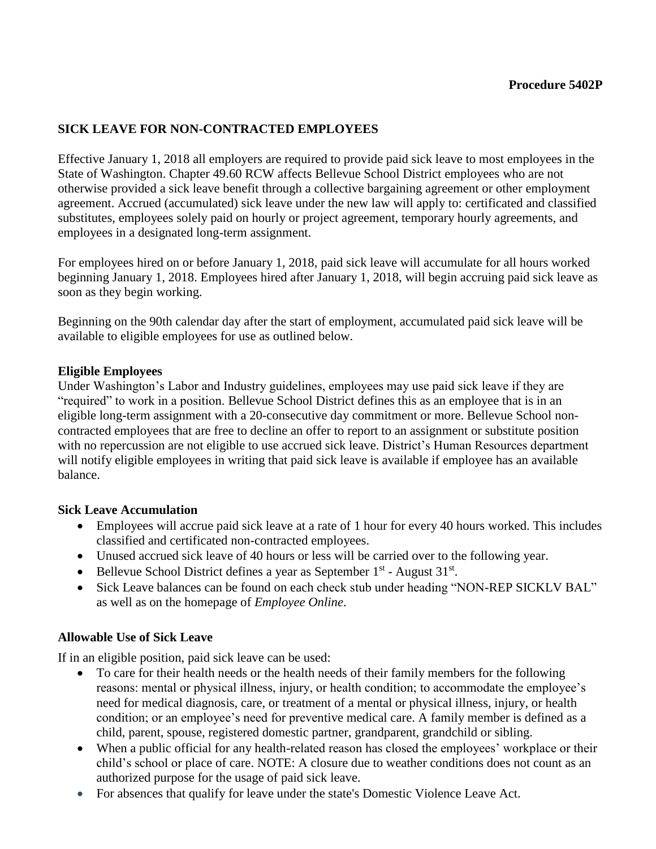# **SICK LEAVE FOR NON-CONTRACTED EMPLOYEES**

Effective January 1, 2018 all employers are required to provide paid sick leave to most employees in the State of Washington. Chapter 49.60 RCW affects Bellevue School District employees who are not otherwise provided a sick leave benefit through a collective bargaining agreement or other employment agreement. Accrued (accumulated) sick leave under the new law will apply to: certificated and classified substitutes, employees solely paid on hourly or project agreement, temporary hourly agreements, and employees in a designated long-term assignment.

For employees hired on or before January 1, 2018, paid sick leave will accumulate for all hours worked beginning January 1, 2018. Employees hired after January 1, 2018, will begin accruing paid sick leave as soon as they begin working.

Beginning on the 90th calendar day after the start of employment, accumulated paid sick leave will be available to eligible employees for use as outlined below.

#### **Eligible Employees**

Under Washington's Labor and Industry guidelines, employees may use paid sick leave if they are "required" to work in a position. Bellevue School District defines this as an employee that is in an eligible long-term assignment with a 20-consecutive day commitment or more. Bellevue School noncontracted employees that are free to decline an offer to report to an assignment or substitute position with no repercussion are not eligible to use accrued sick leave. District's Human Resources department will notify eligible employees in writing that paid sick leave is available if employee has an available balance.

#### **Sick Leave Accumulation**

- Employees will accrue paid sick leave at a rate of 1 hour for every 40 hours worked. This includes classified and certificated non-contracted employees.
- Unused accrued sick leave of 40 hours or less will be carried over to the following year.
- Bellevue School District defines a year as September  $1<sup>st</sup>$  August  $31<sup>st</sup>$ .
- Sick Leave balances can be found on each check stub under heading "NON-REP SICKLV BAL" as well as on the homepage of *Employee Online*.

#### **Allowable Use of Sick Leave**

If in an eligible position, paid sick leave can be used:

- To care for their health needs or the health needs of their family members for the following reasons: mental or physical illness, injury, or health condition; to accommodate the employee's need for medical diagnosis, care, or treatment of a mental or physical illness, injury, or health condition; or an employee's need for preventive medical care. A family member is defined as a child, parent, spouse, registered domestic partner, grandparent, grandchild or sibling.
- When a public official for any health-related reason has closed the employees' workplace or their child's school or place of care. NOTE: A closure due to weather conditions does not count as an authorized purpose for the usage of paid sick leave.
- For absences that qualify for leave under the state's Domestic Violence Leave Act.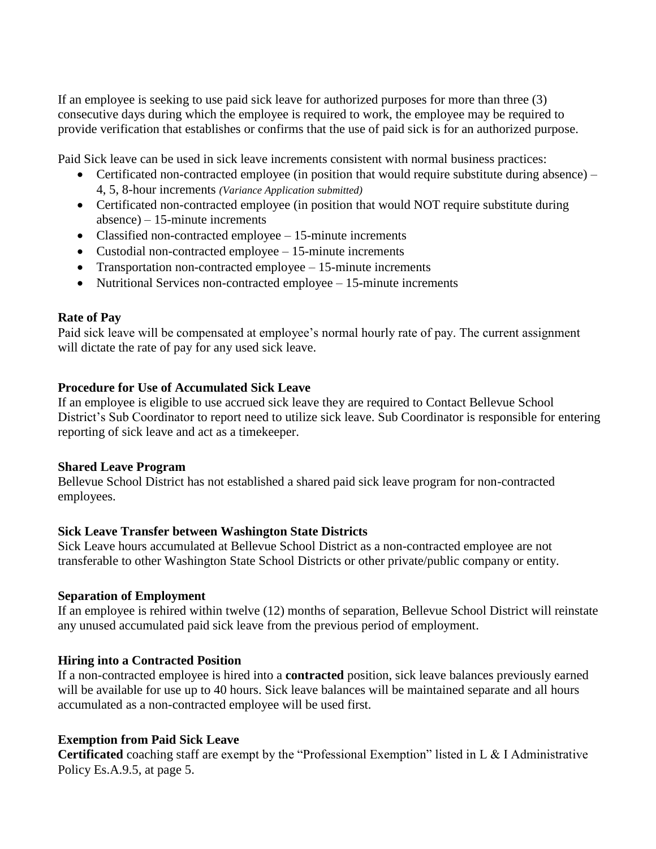If an employee is seeking to use paid sick leave for authorized purposes for more than three (3) consecutive days during which the employee is required to work, the employee may be required to provide verification that establishes or confirms that the use of paid sick is for an authorized purpose.

Paid Sick leave can be used in sick leave increments consistent with normal business practices:

- Certificated non-contracted employee (in position that would require substitute during absence) 4, 5, 8-hour increments *(Variance Application submitted)*
- Certificated non-contracted employee (in position that would NOT require substitute during absence) – 15-minute increments
- Classified non-contracted employee 15-minute increments
- Custodial non-contracted employee 15-minute increments
- Transportation non-contracted employee 15-minute increments
- Nutritional Services non-contracted employee 15-minute increments

### **Rate of Pay**

Paid sick leave will be compensated at employee's normal hourly rate of pay. The current assignment will dictate the rate of pay for any used sick leave.

## **Procedure for Use of Accumulated Sick Leave**

If an employee is eligible to use accrued sick leave they are required to Contact Bellevue School District's Sub Coordinator to report need to utilize sick leave. Sub Coordinator is responsible for entering reporting of sick leave and act as a timekeeper.

#### **Shared Leave Program**

Bellevue School District has not established a shared paid sick leave program for non-contracted employees.

## **Sick Leave Transfer between Washington State Districts**

Sick Leave hours accumulated at Bellevue School District as a non-contracted employee are not transferable to other Washington State School Districts or other private/public company or entity.

#### **Separation of Employment**

If an employee is rehired within twelve (12) months of separation, Bellevue School District will reinstate any unused accumulated paid sick leave from the previous period of employment.

## **Hiring into a Contracted Position**

If a non-contracted employee is hired into a **contracted** position, sick leave balances previously earned will be available for use up to 40 hours. Sick leave balances will be maintained separate and all hours accumulated as a non-contracted employee will be used first.

## **Exemption from Paid Sick Leave**

**Certificated** coaching staff are exempt by the "Professional Exemption" listed in L & I Administrative Policy Es.A.9.5, at page 5.